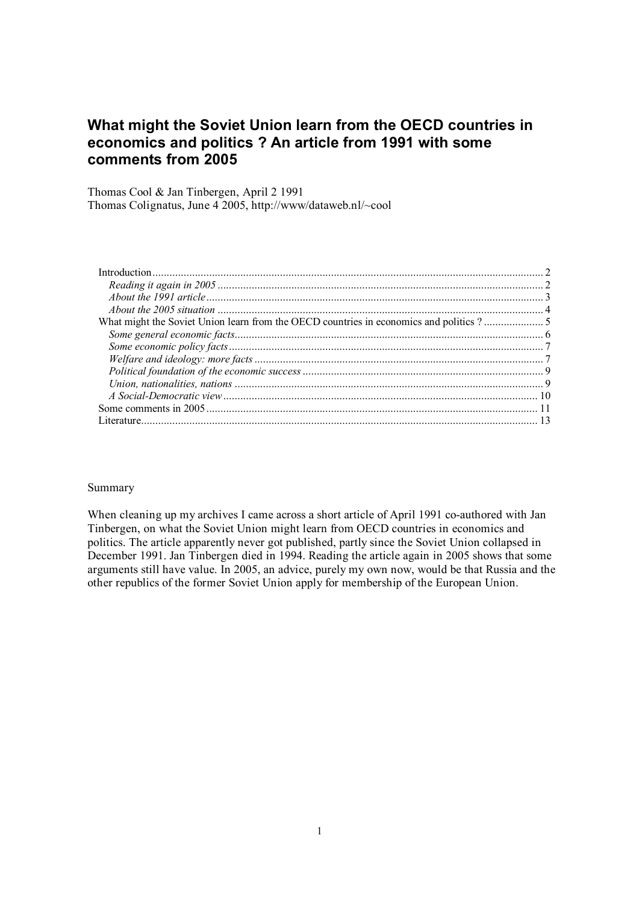# **What might the Soviet Union learn from the OECD countries in economics and politics ? An article from 1991 with some comments from 2005**

Thomas Cool & Jan Tinbergen, April 2 1991 Thomas Colignatus, June 4 2005, http://www/dataweb.nl/~cool

#### Summary

When cleaning up my archives I came across a short article of April 1991 co-authored with Jan Tinbergen, on what the Soviet Union might learn from OECD countries in economics and politics. The article apparently never got published, partly since the Soviet Union collapsed in December 1991. Jan Tinbergen died in 1994. Reading the article again in 2005 shows that some arguments still have value. In 2005, an advice, purely my own now, would be that Russia and the other republics of the former Soviet Union apply for membership of the European Union.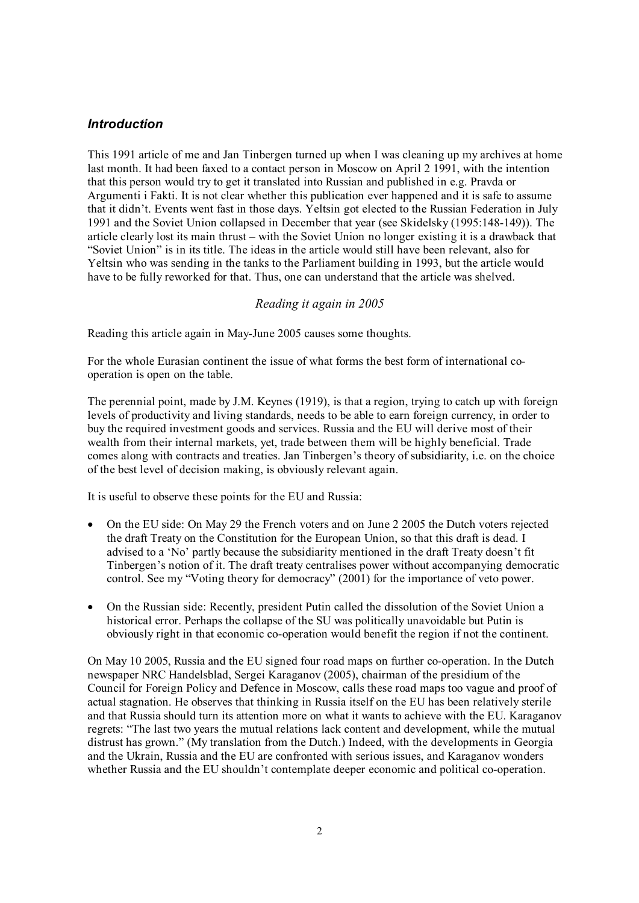# *Introduction*

This 1991 article of me and Jan Tinbergen turned up when I was cleaning up my archives at home last month. It had been faxed to a contact person in Moscow on April 2 1991, with the intention that this person would try to get it translated into Russian and published in e.g. Pravda or Argumenti i Fakti. It is not clear whether this publication ever happened and it is safe to assume that it didn't. Events went fast in those days. Yeltsin got elected to the Russian Federation in July 1991 and the Soviet Union collapsed in December that year (see Skidelsky (1995:148-149)). The article clearly lost its main thrust – with the Soviet Union no longer existing it is a drawback that "Soviet Union" is in its title. The ideas in the article would still have been relevant, also for Yeltsin who was sending in the tanks to the Parliament building in 1993, but the article would have to be fully reworked for that. Thus, one can understand that the article was shelved.

#### *Reading it again in 2005*

Reading this article again in May-June 2005 causes some thoughts.

For the whole Eurasian continent the issue of what forms the best form of international cooperation is open on the table.

The perennial point, made by J.M. Keynes (1919), is that a region, trying to catch up with foreign levels of productivity and living standards, needs to be able to earn foreign currency, in order to buy the required investment goods and services. Russia and the EU will derive most of their wealth from their internal markets, yet, trade between them will be highly beneficial. Trade comes along with contracts and treaties. Jan Tinbergen's theory of subsidiarity, i.e. on the choice of the best level of decision making, is obviously relevant again.

It is useful to observe these points for the EU and Russia:

- On the EU side: On May 29 the French voters and on June 2 2005 the Dutch voters rejected the draft Treaty on the Constitution for the European Union, so that this draft is dead. I advised to a 'No' partly because the subsidiarity mentioned in the draft Treaty doesn't fit Tinbergen's notion of it. The draft treaty centralises power without accompanying democratic control. See my "Voting theory for democracy" (2001) for the importance of veto power.
- On the Russian side: Recently, president Putin called the dissolution of the Soviet Union a historical error. Perhaps the collapse of the SU was politically unavoidable but Putin is obviously right in that economic co-operation would benefit the region if not the continent.

On May 10 2005, Russia and the EU signed four road maps on further co-operation. In the Dutch newspaper NRC Handelsblad, Sergei Karaganov (2005), chairman of the presidium of the Council for Foreign Policy and Defence in Moscow, calls these road maps too vague and proof of actual stagnation. He observes that thinking in Russia itself on the EU has been relatively sterile and that Russia should turn its attention more on what it wants to achieve with the EU. Karaganov regrets: "The last two years the mutual relations lack content and development, while the mutual distrust has grown." (My translation from the Dutch.) Indeed, with the developments in Georgia and the Ukrain, Russia and the EU are confronted with serious issues, and Karaganov wonders whether Russia and the EU shouldn't contemplate deeper economic and political co-operation.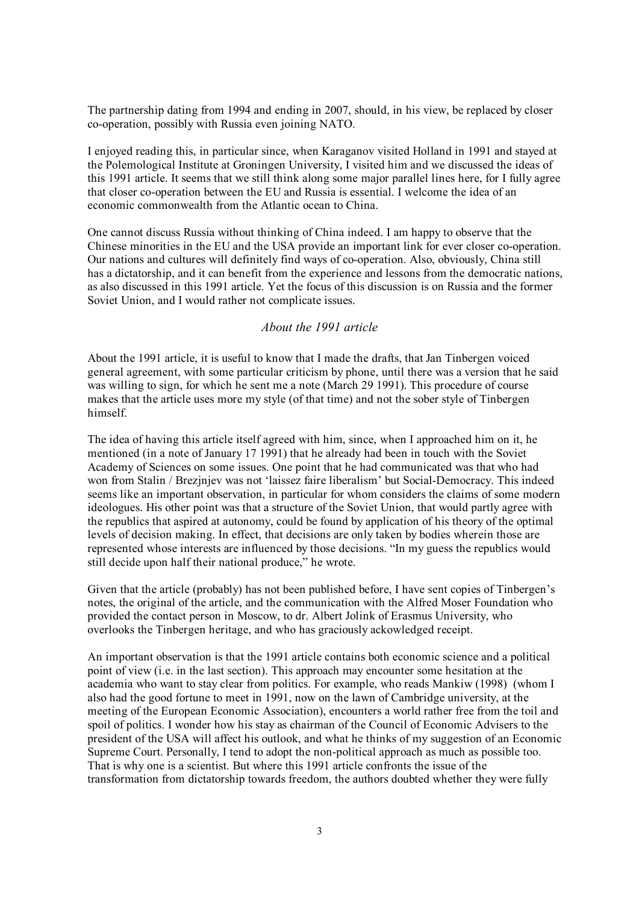The partnership dating from 1994 and ending in 2007, should, in his view, be replaced by closer co-operation, possibly with Russia even joining NATO.

I enjoyed reading this, in particular since, when Karaganov visited Holland in 1991 and stayed at the Polemological Institute at Groningen University, I visited him and we discussed the ideas of this 1991 article. It seems that we still think along some major parallel lines here, for I fully agree that closer co-operation between the EU and Russia is essential. I welcome the idea of an economic commonwealth from the Atlantic ocean to China.

One cannot discuss Russia without thinking of China indeed. I am happy to observe that the Chinese minorities in the EU and the USA provide an important link for ever closer co-operation. Our nations and cultures will definitely find ways of co-operation. Also, obviously, China still has a dictatorship, and it can benefit from the experience and lessons from the democratic nations, as also discussed in this 1991 article. Yet the focus of this discussion is on Russia and the former Soviet Union, and I would rather not complicate issues.

# *About the 1991 article*

About the 1991 article, it is useful to know that I made the drafts, that Jan Tinbergen voiced general agreement, with some particular criticism by phone, until there was a version that he said was willing to sign, for which he sent me a note (March 29 1991). This procedure of course makes that the article uses more my style (of that time) and not the sober style of Tinbergen himself.

The idea of having this article itself agreed with him, since, when I approached him on it, he mentioned (in a note of January 17 1991) that he already had been in touch with the Soviet Academy of Sciences on some issues. One point that he had communicated was that who had won from Stalin / Brezjnjev was not 'laissez faire liberalism' but Social-Democracy. This indeed seems like an important observation, in particular for whom considers the claims of some modern ideologues. His other point was that a structure of the Soviet Union, that would partly agree with the republics that aspired at autonomy, could be found by application of his theory of the optimal levels of decision making. In effect, that decisions are only taken by bodies wherein those are represented whose interests are influenced by those decisions. "In my guess the republics would still decide upon half their national produce," he wrote.

Given that the article (probably) has not been published before, I have sent copies of Tinbergen's notes, the original of the article, and the communication with the Alfred Moser Foundation who provided the contact person in Moscow, to dr. Albert Jolink of Erasmus University, who overlooks the Tinbergen heritage, and who has graciously ackowledged receipt.

An important observation is that the 1991 article contains both economic science and a political point of view (i.e. in the last section). This approach may encounter some hesitation at the academia who want to stay clear from politics. For example, who reads Mankiw (1998) (whom I also had the good fortune to meet in 1991, now on the lawn of Cambridge university, at the meeting of the European Economic Association), encounters a world rather free from the toil and spoil of politics. I wonder how his stay as chairman of the Council of Economic Advisers to the president of the USA will affect his outlook, and what he thinks of my suggestion of an Economic Supreme Court. Personally, I tend to adopt the non-political approach as much as possible too. That is why one is a scientist. But where this 1991 article confronts the issue of the transformation from dictatorship towards freedom, the authors doubted whether they were fully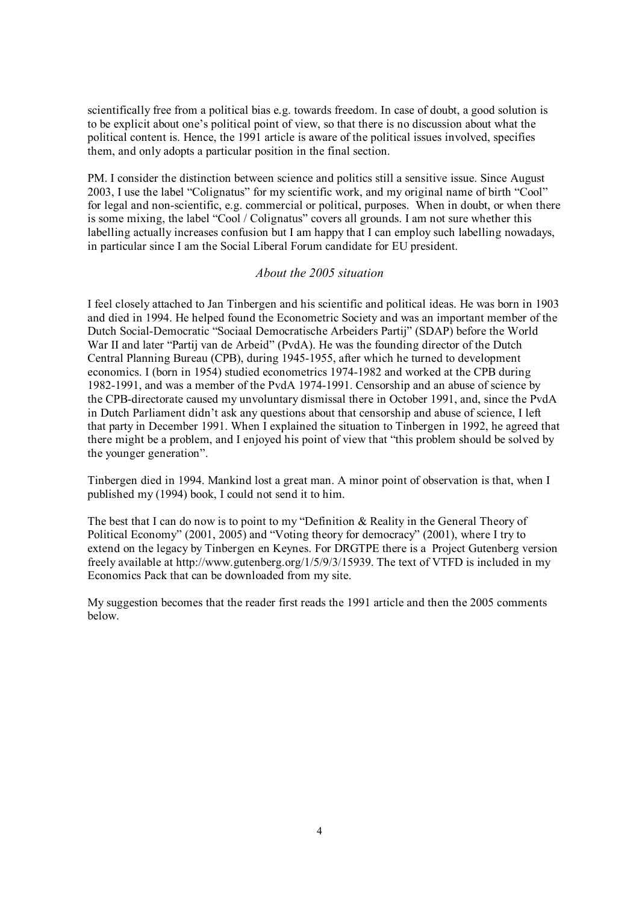scientifically free from a political bias e.g. towards freedom. In case of doubt, a good solution is to be explicit about one's political point of view, so that there is no discussion about what the political content is. Hence, the 1991 article is aware of the political issues involved, specifies them, and only adopts a particular position in the final section.

PM. I consider the distinction between science and politics still a sensitive issue. Since August 2003, I use the label "Colignatus" for my scientific work, and my original name of birth "Cool" for legal and non-scientific, e.g. commercial or political, purposes. When in doubt, or when there is some mixing, the label "Cool / Colignatus" covers all grounds. I am not sure whether this labelling actually increases confusion but I am happy that I can employ such labelling nowadays, in particular since I am the Social Liberal Forum candidate for EU president.

### *About the 2005 situation*

I feel closely attached to Jan Tinbergen and his scientific and political ideas. He was born in 1903 and died in 1994. He helped found the Econometric Society and was an important member of the Dutch Social-Democratic "Sociaal Democratische Arbeiders Partij" (SDAP) before the World War II and later "Partij van de Arbeid" (PvdA). He was the founding director of the Dutch Central Planning Bureau (CPB), during 1945-1955, after which he turned to development economics. I (born in 1954) studied econometrics 1974-1982 and worked at the CPB during 1982-1991, and was a member of the PvdA 1974-1991. Censorship and an abuse of science by the CPB-directorate caused my unvoluntary dismissal there in October 1991, and, since the PvdA in Dutch Parliament didn't ask any questions about that censorship and abuse of science, I left that party in December 1991. When I explained the situation to Tinbergen in 1992, he agreed that there might be a problem, and I enjoyed his point of view that "this problem should be solved by the younger generation".

Tinbergen died in 1994. Mankind lost a great man. A minor point of observation is that, when I published my (1994) book, I could not send it to him.

The best that I can do now is to point to my "Definition & Reality in the General Theory of Political Economy" (2001, 2005) and "Voting theory for democracy" (2001), where I try to extend on the legacy by Tinbergen en Keynes. For DRGTPE there is a Project Gutenberg version freely available at http://www.gutenberg.org/1/5/9/3/15939. The text of VTFD is included in my Economics Pack that can be downloaded from my site.

My suggestion becomes that the reader first reads the 1991 article and then the 2005 comments below.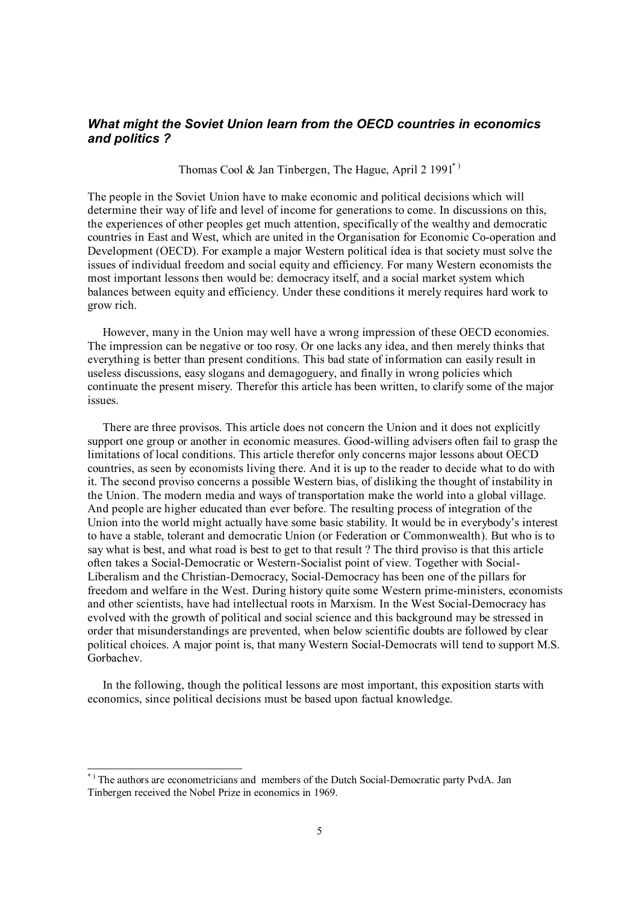# *What might the Soviet Union learn from the OECD countries in economics and politics ?*

Thomas Cool & Jan Tinbergen, The Hague, April 2 1991<sup>\*</sup>)

The people in the Soviet Union have to make economic and political decisions which will determine their way of life and level of income for generations to come. In discussions on this, the experiences of other peoples get much attention, specifically of the wealthy and democratic countries in East and West, which are united in the Organisation for Economic Co-operation and Development (OECD). For example a major Western political idea is that society must solve the issues of individual freedom and social equity and efficiency. For many Western economists the most important lessons then would be: democracy itself, and a social market system which balances between equity and efficiency. Under these conditions it merely requires hard work to grow rich.

However, many in the Union may well have a wrong impression of these OECD economies. The impression can be negative or too rosy. Or one lacks any idea, and then merely thinks that everything is better than present conditions. This bad state of information can easily result in useless discussions, easy slogans and demagoguery, and finally in wrong policies which continuate the present misery. Therefor this article has been written, to clarify some of the major issues.

There are three provisos. This article does not concern the Union and it does not explicitly support one group or another in economic measures. Good-willing advisers often fail to grasp the limitations of local conditions. This article therefor only concerns major lessons about OECD countries, as seen by economists living there. And it is up to the reader to decide what to do with it. The second proviso concerns a possible Western bias, of disliking the thought of instability in the Union. The modern media and ways of transportation make the world into a global village. And people are higher educated than ever before. The resulting process of integration of the Union into the world might actually have some basic stability. It would be in everybody's interest to have a stable, tolerant and democratic Union (or Federation or Commonwealth). But who is to say what is best, and what road is best to get to that result ? The third proviso is that this article often takes a Social-Democratic or Western-Socialist point of view. Together with Social-Liberalism and the Christian-Democracy, Social-Democracy has been one of the pillars for freedom and welfare in the West. During history quite some Western prime-ministers, economists and other scientists, have had intellectual roots in Marxism. In the West Social-Democracy has evolved with the growth of political and social science and this background may be stressed in order that misunderstandings are prevented, when below scientific doubts are followed by clear political choices. A major point is, that many Western Social-Democrats will tend to support M.S. Gorbachev.

In the following, though the political lessons are most important, this exposition starts with economics, since political decisions must be based upon factual knowledge.

-

<sup>\*)</sup> The authors are econometricians and members of the Dutch Social-Democratic party PvdA. Jan Tinbergen received the Nobel Prize in economics in 1969.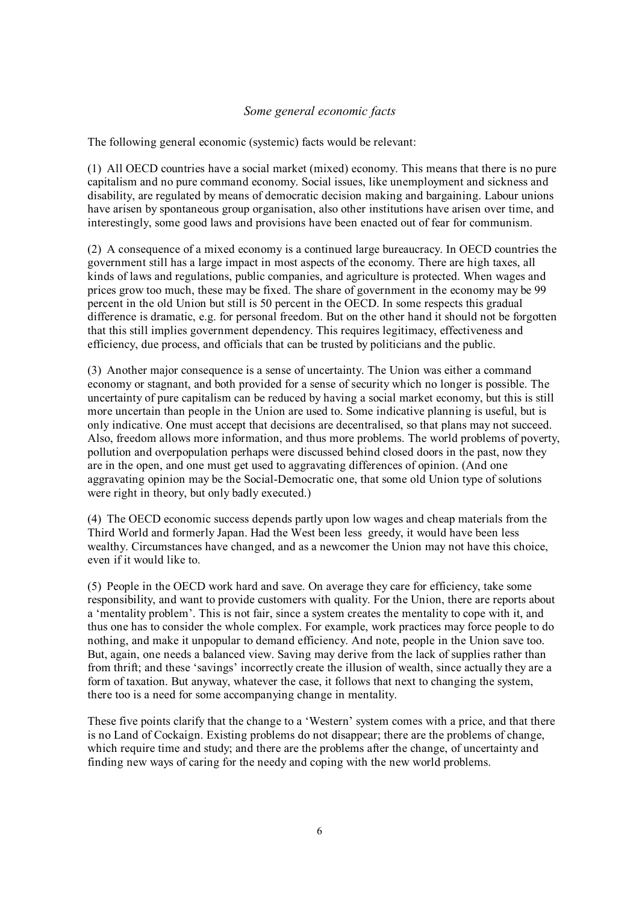## *Some general economic facts*

The following general economic (systemic) facts would be relevant:

(1) All OECD countries have a social market (mixed) economy. This means that there is no pure capitalism and no pure command economy. Social issues, like unemployment and sickness and disability, are regulated by means of democratic decision making and bargaining. Labour unions have arisen by spontaneous group organisation, also other institutions have arisen over time, and interestingly, some good laws and provisions have been enacted out of fear for communism.

(2) A consequence of a mixed economy is a continued large bureaucracy. In OECD countries the government still has a large impact in most aspects of the economy. There are high taxes, all kinds of laws and regulations, public companies, and agriculture is protected. When wages and prices grow too much, these may be fixed. The share of government in the economy may be 99 percent in the old Union but still is 50 percent in the OECD. In some respects this gradual difference is dramatic, e.g. for personal freedom. But on the other hand it should not be forgotten that this still implies government dependency. This requires legitimacy, effectiveness and efficiency, due process, and officials that can be trusted by politicians and the public.

(3) Another major consequence is a sense of uncertainty. The Union was either a command economy or stagnant, and both provided for a sense of security which no longer is possible. The uncertainty of pure capitalism can be reduced by having a social market economy, but this is still more uncertain than people in the Union are used to. Some indicative planning is useful, but is only indicative. One must accept that decisions are decentralised, so that plans may not succeed. Also, freedom allows more information, and thus more problems. The world problems of poverty, pollution and overpopulation perhaps were discussed behind closed doors in the past, now they are in the open, and one must get used to aggravating differences of opinion. (And one aggravating opinion may be the Social-Democratic one, that some old Union type of solutions were right in theory, but only badly executed.)

(4) The OECD economic success depends partly upon low wages and cheap materials from the Third World and formerly Japan. Had the West been less greedy, it would have been less wealthy. Circumstances have changed, and as a newcomer the Union may not have this choice, even if it would like to.

(5) People in the OECD work hard and save. On average they care for efficiency, take some responsibility, and want to provide customers with quality. For the Union, there are reports about a 'mentality problem'. This is not fair, since a system creates the mentality to cope with it, and thus one has to consider the whole complex. For example, work practices may force people to do nothing, and make it unpopular to demand efficiency. And note, people in the Union save too. But, again, one needs a balanced view. Saving may derive from the lack of supplies rather than from thrift; and these 'savings' incorrectly create the illusion of wealth, since actually they are a form of taxation. But anyway, whatever the case, it follows that next to changing the system, there too is a need for some accompanying change in mentality.

These five points clarify that the change to a 'Western' system comes with a price, and that there is no Land of Cockaign. Existing problems do not disappear; there are the problems of change, which require time and study; and there are the problems after the change, of uncertainty and finding new ways of caring for the needy and coping with the new world problems.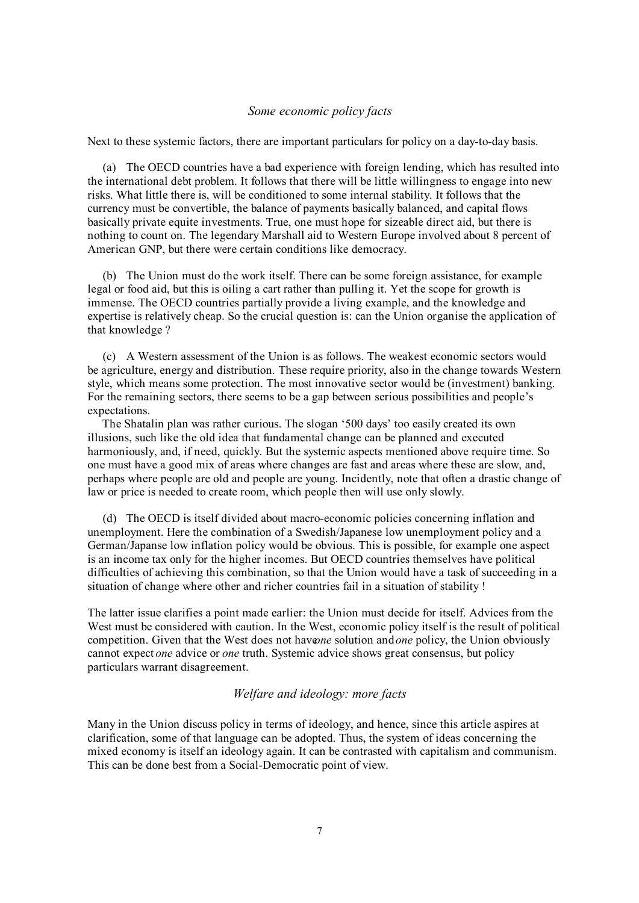#### *Some economic policy facts*

Next to these systemic factors, there are important particulars for policy on a day-to-day basis.

(a) The OECD countries have a bad experience with foreign lending, which has resulted into the international debt problem. It follows that there will be little willingness to engage into new risks. What little there is, will be conditioned to some internal stability. It follows that the currency must be convertible, the balance of payments basically balanced, and capital flows basically private equite investments. True, one must hope for sizeable direct aid, but there is nothing to count on. The legendary Marshall aid to Western Europe involved about 8 percent of American GNP, but there were certain conditions like democracy.

(b) The Union must do the work itself. There can be some foreign assistance, for example legal or food aid, but this is oiling a cart rather than pulling it. Yet the scope for growth is immense. The OECD countries partially provide a living example, and the knowledge and expertise is relatively cheap. So the crucial question is: can the Union organise the application of that knowledge ?

(c) A Western assessment of the Union is as follows. The weakest economic sectors would be agriculture, energy and distribution. These require priority, also in the change towards Western style, which means some protection. The most innovative sector would be (investment) banking. For the remaining sectors, there seems to be a gap between serious possibilities and people's expectations.

 The Shatalin plan was rather curious. The slogan '500 days' too easily created its own illusions, such like the old idea that fundamental change can be planned and executed harmoniously, and, if need, quickly. But the systemic aspects mentioned above require time. So one must have a good mix of areas where changes are fast and areas where these are slow, and, perhaps where people are old and people are young. Incidently, note that often a drastic change of law or price is needed to create room, which people then will use only slowly.

(d) The OECD is itself divided about macro-economic policies concerning inflation and unemployment. Here the combination of a Swedish/Japanese low unemployment policy and a German/Japanse low inflation policy would be obvious. This is possible, for example one aspect is an income tax only for the higher incomes. But OECD countries themselves have political difficulties of achieving this combination, so that the Union would have a task of succeeding in a situation of change where other and richer countries fail in a situation of stability !

The latter issue clarifies a point made earlier: the Union must decide for itself. Advices from the West must be considered with caution. In the West, economic policy itself is the result of political competition. Given that the West does not have *ne* solution and *one* policy, the Union obviously cannot expect *one* advice or *one* truth. Systemic advice shows great consensus, but policy particulars warrant disagreement.

### *Welfare and ideology: more facts*

Many in the Union discuss policy in terms of ideology, and hence, since this article aspires at clarification, some of that language can be adopted. Thus, the system of ideas concerning the mixed economy is itself an ideology again. It can be contrasted with capitalism and communism. This can be done best from a Social-Democratic point of view.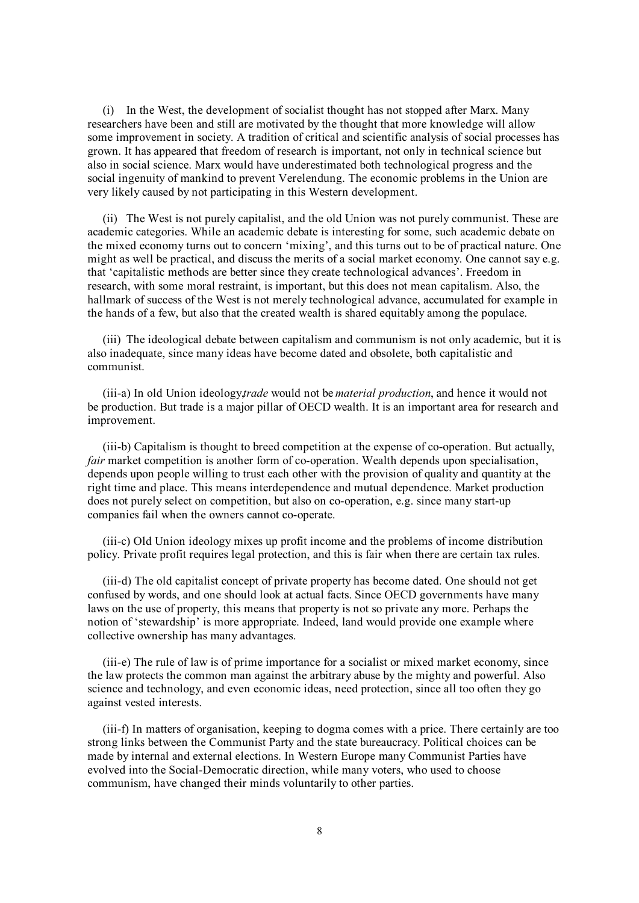(i) In the West, the development of socialist thought has not stopped after Marx. Many researchers have been and still are motivated by the thought that more knowledge will allow some improvement in society. A tradition of critical and scientific analysis of social processes has grown. It has appeared that freedom of research is important, not only in technical science but also in social science. Marx would have underestimated both technological progress and the social ingenuity of mankind to prevent Verelendung. The economic problems in the Union are very likely caused by not participating in this Western development.

(ii) The West is not purely capitalist, and the old Union was not purely communist. These are academic categories. While an academic debate is interesting for some, such academic debate on the mixed economy turns out to concern 'mixing', and this turns out to be of practical nature. One might as well be practical, and discuss the merits of a social market economy. One cannot say e.g. that 'capitalistic methods are better since they create technological advances'. Freedom in research, with some moral restraint, is important, but this does not mean capitalism. Also, the hallmark of success of the West is not merely technological advance, accumulated for example in the hands of a few, but also that the created wealth is shared equitably among the populace.

(iii) The ideological debate between capitalism and communism is not only academic, but it is also inadequate, since many ideas have become dated and obsolete, both capitalistic and communist.

(iii-a) In old Union ideology*trade* would not be *material production*, and hence it would not be production. But trade is a major pillar of OECD wealth. It is an important area for research and improvement.

(iii-b) Capitalism is thought to breed competition at the expense of co-operation. But actually, *fair* market competition is another form of co-operation. Wealth depends upon specialisation, depends upon people willing to trust each other with the provision of quality and quantity at the right time and place. This means interdependence and mutual dependence. Market production does not purely select on competition, but also on co-operation, e.g. since many start-up companies fail when the owners cannot co-operate.

(iii-c) Old Union ideology mixes up profit income and the problems of income distribution policy. Private profit requires legal protection, and this is fair when there are certain tax rules.

(iii-d) The old capitalist concept of private property has become dated. One should not get confused by words, and one should look at actual facts. Since OECD governments have many laws on the use of property, this means that property is not so private any more. Perhaps the notion of 'stewardship' is more appropriate. Indeed, land would provide one example where collective ownership has many advantages.

(iii-e) The rule of law is of prime importance for a socialist or mixed market economy, since the law protects the common man against the arbitrary abuse by the mighty and powerful. Also science and technology, and even economic ideas, need protection, since all too often they go against vested interests.

(iii-f) In matters of organisation, keeping to dogma comes with a price. There certainly are too strong links between the Communist Party and the state bureaucracy. Political choices can be made by internal and external elections. In Western Europe many Communist Parties have evolved into the Social-Democratic direction, while many voters, who used to choose communism, have changed their minds voluntarily to other parties.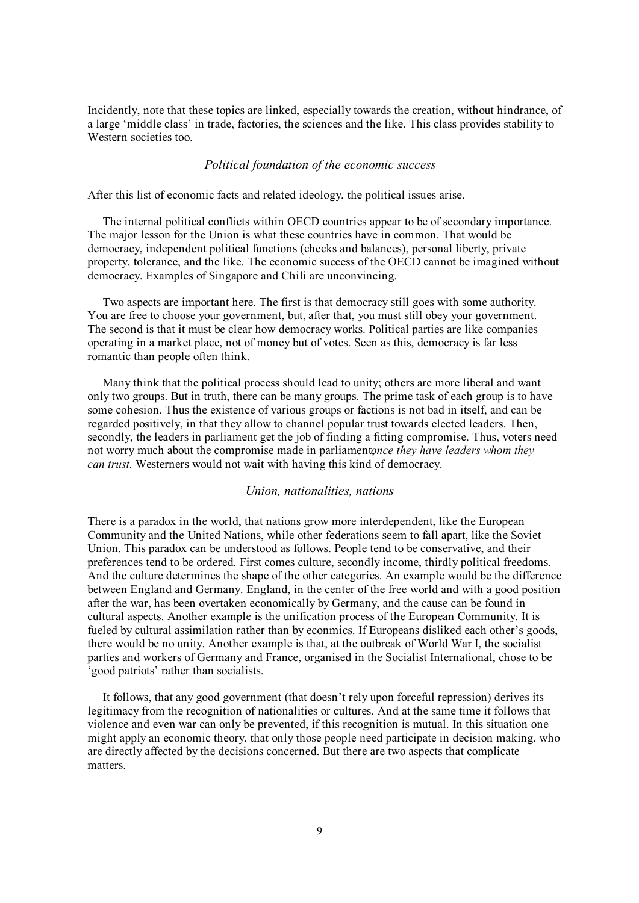Incidently, note that these topics are linked, especially towards the creation, without hindrance, of a large 'middle class' in trade, factories, the sciences and the like. This class provides stability to Western societies too.

#### *Political foundation of the economic success*

After this list of economic facts and related ideology, the political issues arise.

The internal political conflicts within OECD countries appear to be of secondary importance. The major lesson for the Union is what these countries have in common. That would be democracy, independent political functions (checks and balances), personal liberty, private property, tolerance, and the like. The economic success of the OECD cannot be imagined without democracy. Examples of Singapore and Chili are unconvincing.

Two aspects are important here. The first is that democracy still goes with some authority. You are free to choose your government, but, after that, you must still obey your government. The second is that it must be clear how democracy works. Political parties are like companies operating in a market place, not of money but of votes. Seen as this, democracy is far less romantic than people often think.

Many think that the political process should lead to unity; others are more liberal and want only two groups. But in truth, there can be many groups. The prime task of each group is to have some cohesion. Thus the existence of various groups or factions is not bad in itself, and can be regarded positively, in that they allow to channel popular trust towards elected leaders. Then, secondly, the leaders in parliament get the job of finding a fitting compromise. Thus, voters need not worry much about the compromise made in parliament*once they have leaders whom they can trust*. Westerners would not wait with having this kind of democracy.

### *Union, nationalities, nations*

There is a paradox in the world, that nations grow more interdependent, like the European Community and the United Nations, while other federations seem to fall apart, like the Soviet Union. This paradox can be understood as follows. People tend to be conservative, and their preferences tend to be ordered. First comes culture, secondly income, thirdly political freedoms. And the culture determines the shape of the other categories. An example would be the difference between England and Germany. England, in the center of the free world and with a good position after the war, has been overtaken economically by Germany, and the cause can be found in cultural aspects. Another example is the unification process of the European Community. It is fueled by cultural assimilation rather than by econmics. If Europeans disliked each other's goods, there would be no unity. Another example is that, at the outbreak of World War I, the socialist parties and workers of Germany and France, organised in the Socialist International, chose to be 'good patriots' rather than socialists.

It follows, that any good government (that doesn't rely upon forceful repression) derives its legitimacy from the recognition of nationalities or cultures. And at the same time it follows that violence and even war can only be prevented, if this recognition is mutual. In this situation one might apply an economic theory, that only those people need participate in decision making, who are directly affected by the decisions concerned. But there are two aspects that complicate matters.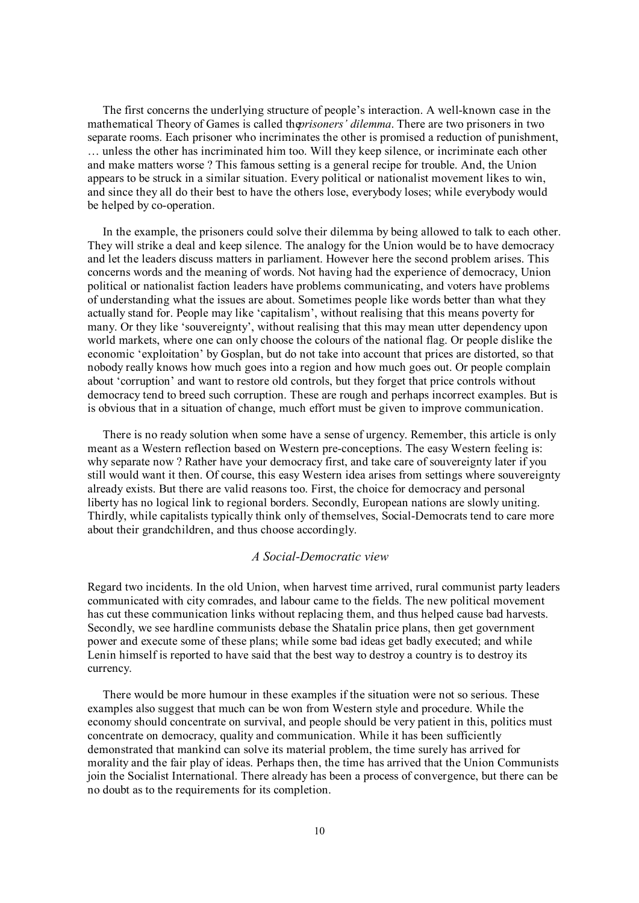The first concerns the underlying structure of people's interaction. A well-known case in the mathematical Theory of Games is called the *prisoners' dilemma*. There are two prisoners in two separate rooms. Each prisoner who incriminates the other is promised a reduction of punishment, … unless the other has incriminated him too. Will they keep silence, or incriminate each other and make matters worse ? This famous setting is a general recipe for trouble. And, the Union appears to be struck in a similar situation. Every political or nationalist movement likes to win, and since they all do their best to have the others lose, everybody loses; while everybody would be helped by co-operation.

In the example, the prisoners could solve their dilemma by being allowed to talk to each other. They will strike a deal and keep silence. The analogy for the Union would be to have democracy and let the leaders discuss matters in parliament. However here the second problem arises. This concerns words and the meaning of words. Not having had the experience of democracy, Union political or nationalist faction leaders have problems communicating, and voters have problems of understanding what the issues are about. Sometimes people like words better than what they actually stand for. People may like 'capitalism', without realising that this means poverty for many. Or they like 'souvereignty', without realising that this may mean utter dependency upon world markets, where one can only choose the colours of the national flag. Or people dislike the economic 'exploitation' by Gosplan, but do not take into account that prices are distorted, so that nobody really knows how much goes into a region and how much goes out. Or people complain about 'corruption' and want to restore old controls, but they forget that price controls without democracy tend to breed such corruption. These are rough and perhaps incorrect examples. But is is obvious that in a situation of change, much effort must be given to improve communication.

There is no ready solution when some have a sense of urgency. Remember, this article is only meant as a Western reflection based on Western pre-conceptions. The easy Western feeling is: why separate now ? Rather have your democracy first, and take care of souvereignty later if you still would want it then. Of course, this easy Western idea arises from settings where souvereignty already exists. But there are valid reasons too. First, the choice for democracy and personal liberty has no logical link to regional borders. Secondly, European nations are slowly uniting. Thirdly, while capitalists typically think only of themselves, Social-Democrats tend to care more about their grandchildren, and thus choose accordingly.

### *A Social-Democratic view*

Regard two incidents. In the old Union, when harvest time arrived, rural communist party leaders communicated with city comrades, and labour came to the fields. The new political movement has cut these communication links without replacing them, and thus helped cause bad harvests. Secondly, we see hardline communists debase the Shatalin price plans, then get government power and execute some of these plans; while some bad ideas get badly executed; and while Lenin himself is reported to have said that the best way to destroy a country is to destroy its currency.

There would be more humour in these examples if the situation were not so serious. These examples also suggest that much can be won from Western style and procedure. While the economy should concentrate on survival, and people should be very patient in this, politics must concentrate on democracy, quality and communication. While it has been sufficiently demonstrated that mankind can solve its material problem, the time surely has arrived for morality and the fair play of ideas. Perhaps then, the time has arrived that the Union Communists join the Socialist International. There already has been a process of convergence, but there can be no doubt as to the requirements for its completion.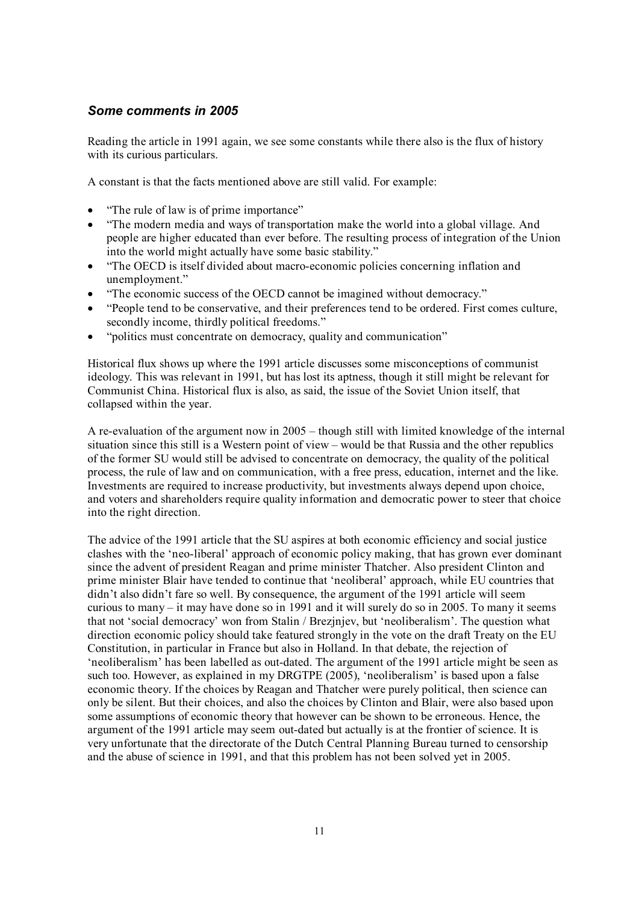# *Some comments in 2005*

Reading the article in 1991 again, we see some constants while there also is the flux of history with its curious particulars.

A constant is that the facts mentioned above are still valid. For example:

- "The rule of law is of prime importance"
- "The modern media and ways of transportation make the world into a global village. And people are higher educated than ever before. The resulting process of integration of the Union into the world might actually have some basic stability."
- "The OECD is itself divided about macro-economic policies concerning inflation and unemployment."
- "The economic success of the OECD cannot be imagined without democracy."
- "People tend to be conservative, and their preferences tend to be ordered. First comes culture, secondly income, thirdly political freedoms."
- "politics must concentrate on democracy, quality and communication"

Historical flux shows up where the 1991 article discusses some misconceptions of communist ideology. This was relevant in 1991, but has lost its aptness, though it still might be relevant for Communist China. Historical flux is also, as said, the issue of the Soviet Union itself, that collapsed within the year.

A re-evaluation of the argument now in 2005 – though still with limited knowledge of the internal situation since this still is a Western point of view – would be that Russia and the other republics of the former SU would still be advised to concentrate on democracy, the quality of the political process, the rule of law and on communication, with a free press, education, internet and the like. Investments are required to increase productivity, but investments always depend upon choice, and voters and shareholders require quality information and democratic power to steer that choice into the right direction.

The advice of the 1991 article that the SU aspires at both economic efficiency and social justice clashes with the 'neo-liberal' approach of economic policy making, that has grown ever dominant since the advent of president Reagan and prime minister Thatcher. Also president Clinton and prime minister Blair have tended to continue that 'neoliberal' approach, while EU countries that didn't also didn't fare so well. By consequence, the argument of the 1991 article will seem curious to many – it may have done so in 1991 and it will surely do so in 2005. To many it seems that not 'social democracy' won from Stalin / Brezjnjev, but 'neoliberalism'. The question what direction economic policy should take featured strongly in the vote on the draft Treaty on the EU Constitution, in particular in France but also in Holland. In that debate, the rejection of 'neoliberalism' has been labelled as out-dated. The argument of the 1991 article might be seen as such too. However, as explained in my DRGTPE (2005), 'neoliberalism' is based upon a false economic theory. If the choices by Reagan and Thatcher were purely political, then science can only be silent. But their choices, and also the choices by Clinton and Blair, were also based upon some assumptions of economic theory that however can be shown to be erroneous. Hence, the argument of the 1991 article may seem out-dated but actually is at the frontier of science. It is very unfortunate that the directorate of the Dutch Central Planning Bureau turned to censorship and the abuse of science in 1991, and that this problem has not been solved yet in 2005.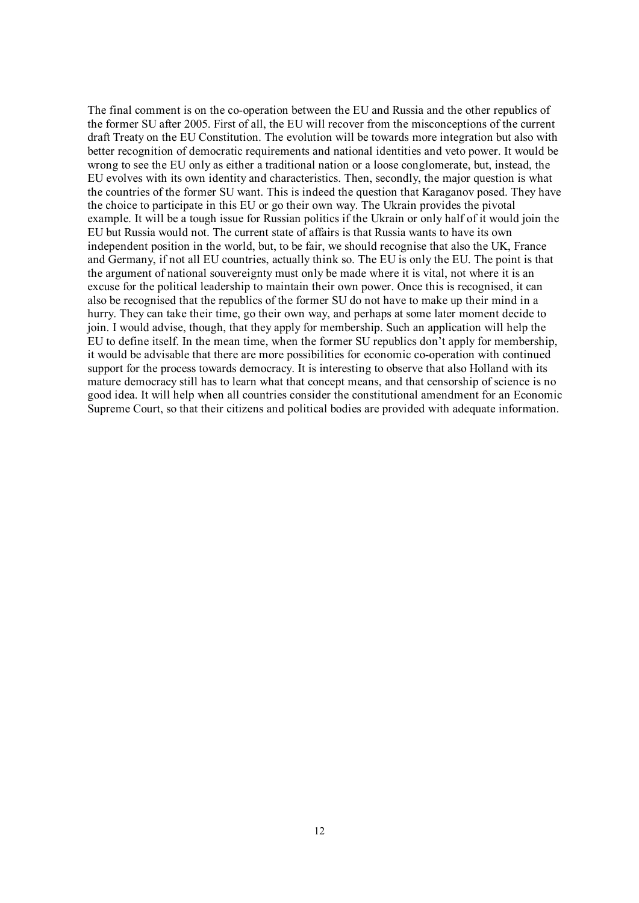The final comment is on the co-operation between the EU and Russia and the other republics of the former SU after 2005. First of all, the EU will recover from the misconceptions of the current draft Treaty on the EU Constitution. The evolution will be towards more integration but also with better recognition of democratic requirements and national identities and veto power. It would be wrong to see the EU only as either a traditional nation or a loose conglomerate, but, instead, the EU evolves with its own identity and characteristics. Then, secondly, the major question is what the countries of the former SU want. This is indeed the question that Karaganov posed. They have the choice to participate in this EU or go their own way. The Ukrain provides the pivotal example. It will be a tough issue for Russian politics if the Ukrain or only half of it would join the EU but Russia would not. The current state of affairs is that Russia wants to have its own independent position in the world, but, to be fair, we should recognise that also the UK, France and Germany, if not all EU countries, actually think so. The EU is only the EU. The point is that the argument of national souvereignty must only be made where it is vital, not where it is an excuse for the political leadership to maintain their own power. Once this is recognised, it can also be recognised that the republics of the former SU do not have to make up their mind in a hurry. They can take their time, go their own way, and perhaps at some later moment decide to join. I would advise, though, that they apply for membership. Such an application will help the EU to define itself. In the mean time, when the former SU republics don't apply for membership, it would be advisable that there are more possibilities for economic co-operation with continued support for the process towards democracy. It is interesting to observe that also Holland with its mature democracy still has to learn what that concept means, and that censorship of science is no good idea. It will help when all countries consider the constitutional amendment for an Economic Supreme Court, so that their citizens and political bodies are provided with adequate information.